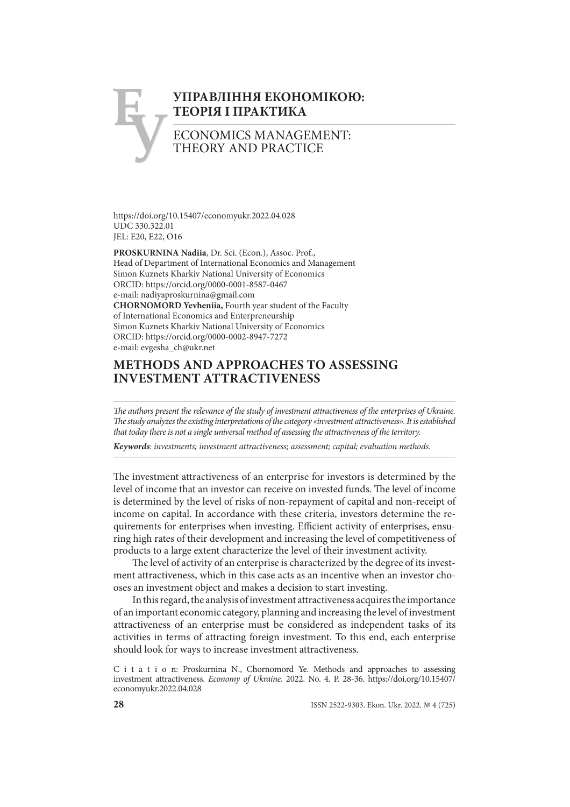# **Е У УПРАВЛІННЯ ЕКОНОМІКОЮ: ТЕОРІЯ І ПРАКТИКА** ECONOMICS MANAGEMENT:

THEORY AND PRACTICE

https://doi.org/10.15407/economyukr.2022.04.028 UDC 330.322.01 JEL: E20, E22, O16

**PROSKURNINA Nadiia**, Dr. Sci. (Econ.), Assoc. Prof., Head of Department of International Economics and Management Simon Kuznets Kharkiv National University of Economics ORCID: https://orcid.org/0000-0001-8587-0467 e-mail: nadiyaproskurnina@gmail.com **CHORNOMORD Yevheniia,** Fourth year student of the Faculty of International Economics and Enterpreneurship Simon Kuznets Kharkiv National University of Economics ORCID: https://orcid.org/0000-0002-8947-7272 e-mail: evgesha\_ch@ukr.net

## **METHODS AND APPROACHES TO ASSESSING INVESTMENT ATTRACTIVENESS**

The authors present the relevance of the study of investment attractiveness of the enterprises of Ukraine. *Th e study analyzes the existing interpretations of the category «investment attractiveness». It is established that today there is not a single universal method of assessing the attractiveness of the territory.* 

*Keywords: investments; investment attractiveness; assessment; capital; evaluation methods.*

The investment attractiveness of an enterprise for investors is determined by the level of income that an investor can receive on invested funds. The level of income is determined by the level of risks of non-repayment of capital and non-receipt of income on capital. In accordance with these criteria, investors determine the requirements for enterprises when investing. Efficient activity of enterprises, ensuring high rates of their development and increasing the level of competitiveness of products to a large extent characterize the level of their investment activity.

The level of activity of an enterprise is characterized by the degree of its investment attractiveness, which in this case acts as an incentive when an investor chooses an investment object and makes a decision to start investing.

In this regard, the analysis of investment attractiveness acquires the importance of an important economic category, planning and increasing the level of investment attractiveness of an enterprise must be considered as independent tasks of its activities in terms of attracting foreign investment. To this end, each enterprise should look for ways to increase investment attractiveness.

C i t a t i o n: Proskurnina N., Chornomord Ye. Methods and approaches to assessing investment attractiveness. *Economy of Ukraine*. 2022. No. 4. P. 28-36. https://doi.org/10.15407/ economyukr.2022.04.028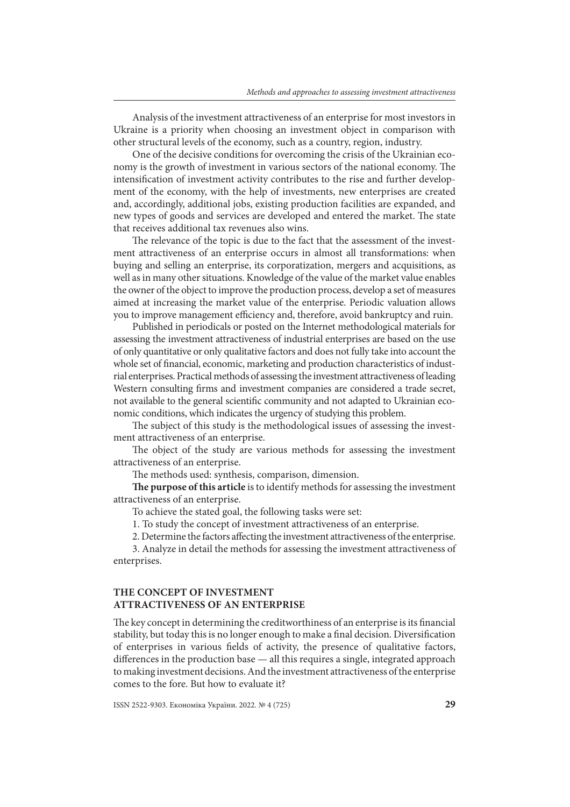Analysis of the investment attractiveness of an enterprise for most investors in Ukraine is a priority when choosing an investment object in comparison with other structural levels of the economy, such as a country, region, industry.

One of the decisive conditions for overcoming the crisis of the Ukrainian economy is the growth of investment in various sectors of the national economy. The intensification of investment activity contributes to the rise and further development of the economy, with the help of investments, new enterprises are created and, accordingly, additional jobs, existing production facilities are expanded, and new types of goods and services are developed and entered the market. The state that receives additional tax revenues also wins.

The relevance of the topic is due to the fact that the assessment of the investment attractiveness of an enterprise occurs in almost all transformations: when buying and selling an enterprise, its corporatization, mergers and acquisitions, as well as in many other situations. Knowledge of the value of the market value enables the owner of the object to improve the production process, develop a set of measures aimed at increasing the market value of the enterprise. Periodic valuation allows you to improve management efficiency and, therefore, avoid bankruptcy and ruin.

Published in periodicals or posted on the Internet methodological materials for assessing the investment attractiveness of industrial enterprises are based on the use of only quantitative or only qualitative factors and does not fully take into account the whole set of financial, economic, marketing and production characteristics of industrial enterprises. Practical methods of assessing the investment attractiveness of leading Western consulting firms and investment companies are considered a trade secret, not available to the general scientific community and not adapted to Ukrainian economic conditions, which indicates the urgency of studying this problem.

The subject of this study is the methodological issues of assessing the investment attractiveness of an enterprise.

The object of the study are various methods for assessing the investment attractiveness of an enterprise.

The methods used: synthesis, comparison, dimension.

The purpose of this article is to identify methods for assessing the investment attractiveness of an enterprise.

To achieve the stated goal, the following tasks were set:

1. To study the concept of investment attractiveness of an enterprise.

2. Determine the factors affecting the investment attractiveness of the enterprise.

3. Analyze in detail the methods for assessing the investment attractiveness of enterprises.

## **THE CONCEPT OF INVESTMENT ATTRACTIVENESS OF AN ENTERPRISE**

The key concept in determining the creditworthiness of an enterprise is its financial stability, but today this is no longer enough to make a final decision. Diversification of enterprises in various fields of activity, the presence of qualitative factors, differences in the production base  $-$  all this requires a single, integrated approach to making investment decisions. And the investment attractiveness of the enterprise comes to the fore. But how to evaluate it?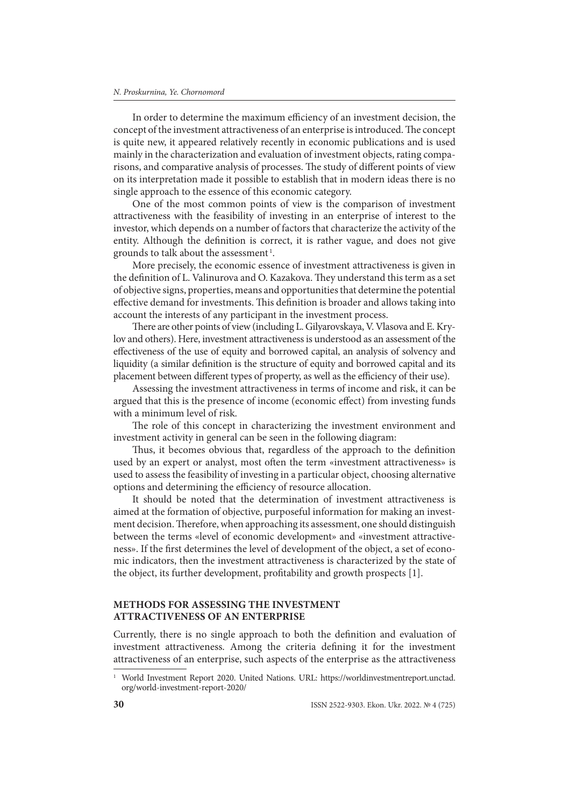In order to determine the maximum efficiency of an investment decision, the concept of the investment attractiveness of an enterprise is introduced. The concept is quite new, it appeared relatively recently in economic publications and is used mainly in the characterization and evaluation of investment objects, rating comparisons, and comparative analysis of processes. The study of different points of view on its interpretation made it possible to establish that in modern ideas there is no single approach to the essence of this economic category.

One of the most common points of view is the comparison of investment attractiveness with the feasibility of investing in an enterprise of interest to the investor, which depends on a number of factors that characterize the activity of the entity. Although the definition is correct, it is rather vague, and does not give grounds to talk about the assessment 1.

More precisely, the economic essence of investment attractiveness is given in the definition of L. Valinurova and O. Kazakova. They understand this term as a set of objective signs, properties, means and opportunities that determine the potential effective demand for investments. This definition is broader and allows taking into account the interests of any participant in the investment process.

There are other points of view (including L. Gilyarovskaya, V. Vlasova and E. Krylov and others). Here, investment attractiveness is understood as an assessment of the effectiveness of the use of equity and borrowed capital, an analysis of solvency and liquidity (a similar definition is the structure of equity and borrowed capital and its placement between different types of property, as well as the efficiency of their use).

Assessing the investment attractiveness in terms of income and risk, it can be argued that this is the presence of income (economic effect) from investing funds with a minimum level of risk.

The role of this concept in characterizing the investment environment and investment activity in general can be seen in the following diagram:

Thus, it becomes obvious that, regardless of the approach to the definition used by an expert or analyst, most often the term «investment attractiveness» is used to assess the feasibility of investing in a particular object, choosing alternative options and determining the efficiency of resource allocation.

It should be noted that the determination of investment attractiveness is aimed at the formation of objective, purposeful information for making an investment decision. Therefore, when approaching its assessment, one should distinguish between the terms «level of economic development» and «investment attractiveness». If the first determines the level of development of the object, a set of economic indicators, then the investment attractiveness is characterized by the state of the object, its further development, profitability and growth prospects [1].

### **METHODS FOR ASSESSING THE INVESTMENT ATTRACTIVENESS OF AN ENTERPRISE**

Currently, there is no single approach to both the definition and evaluation of investment attractiveness. Among the criteria defining it for the investment attractiveness of an enterprise, such aspects of the enterprise as the attractiveness

<sup>1</sup> World Investment Report 2020. United Nations. URL: https://worldinvestmentreport.unctad. org/world-investment-report-2020/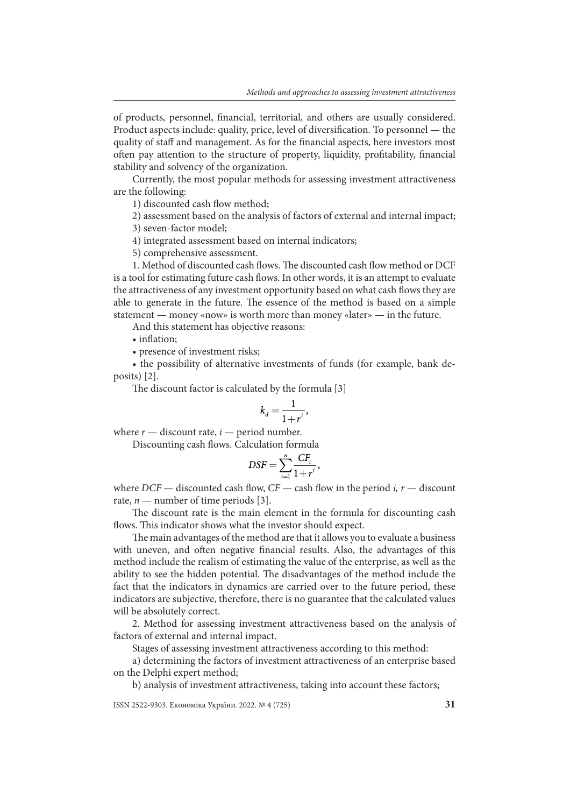of products, personnel, financial, territorial, and others are usually considered. Product aspects include: quality, price, level of diversification. To personnel — the quality of staff and management. As for the financial aspects, here investors most often pay attention to the structure of property, liquidity, profitability, financial stability and solvency of the organization.

Currently, the most popular methods for assessing investment attractiveness are the following:

1) discounted cash flow method;

2) assessment based on the analysis of factors of external and internal impact;

3) seven-factor model;

4) integrated assessment based on internal indicators;

5) comprehensive assessment.

1. Method of discounted cash flows. The discounted cash flow method or DCF is a tool for estimating future cash flows. In other words, it is an attempt to evaluate the attractiveness of any investment opportunity based on what cash flows they are able to generate in the future. The essence of the method is based on a simple statement — money «now» is worth more than money «later» — in the future.

And this statement has objective reasons:

• inflation:

• presence of investment risks;

• the possibility of alternative investments of funds (for example, bank deposits) [2].

The discount factor is calculated by the formula [3]

$$
k_d = \frac{1}{1 + r^i},
$$

where  $r$  — discount rate,  $i$  — period number.

Discounting cash flows. Calculation formula

$$
DSF = \sum_{i=1}^{n} \frac{CF_i}{1+r^i},
$$

where  $DCF$  — discounted cash flow,  $CF$  — cash flow in the period *i*, *r* — discount rate,  $n$  — number of time periods [3].

The discount rate is the main element in the formula for discounting cash flows. This indicator shows what the investor should expect.

The main advantages of the method are that it allows you to evaluate a business with uneven, and often negative financial results. Also, the advantages of this method include the realism of estimating the value of the enterprise, as well as the ability to see the hidden potential. The disadvantages of the method include the fact that the indicators in dynamics are carried over to the future period, these indicators are subjective, therefore, there is no guarantee that the calculated values will be absolutely correct.

2. Method for assessing investment attractiveness based on the analysis of factors of external and internal impact.

Stages of assessing investment attractiveness according to this method:

a) determining the factors of investment attractiveness of an enterprise based on the Delphi expert method;

b) analysis of investment attractiveness, taking into account these factors;

ISSN 2522-9303. Економіка України. 2022. № 4 (725) **31**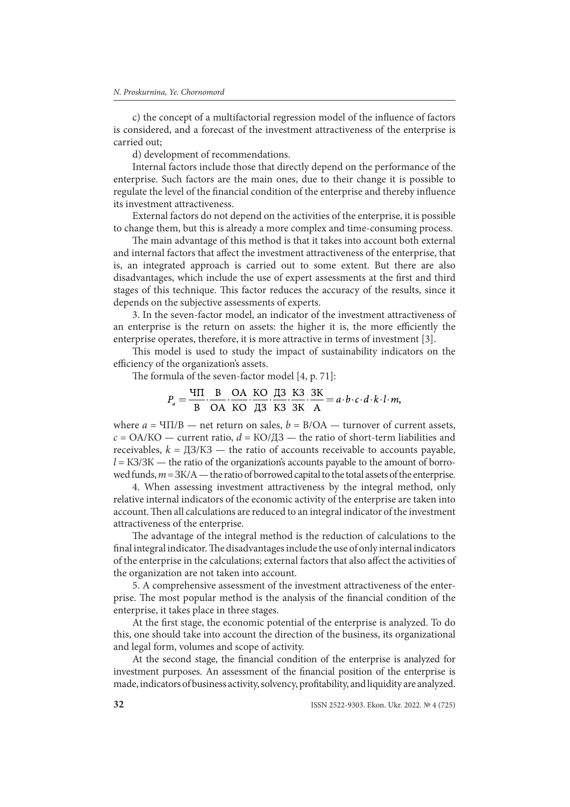c) the concept of a multifactorial regression model of the influence of factors is considered, and a forecast of the investment attractiveness of the enterprise is carried out;

d) development of recommendations.

Internal factors include those that directly depend on the performance of the enterprise. Such factors are the main ones, due to their change it is possible to regulate the level of the financial condition of the enterprise and thereby influence its investment attractiveness.

External factors do not depend on the activities of the enterprise, it is possible to change them, but this is already a more complex and time-consuming process.

The main advantage of this method is that it takes into account both external and internal factors that affect the investment attractiveness of the enterprise, that is, an integrated approach is carried out to some extent. But there are also disadvantages, which include the use of expert assessments at the first and third stages of this technique. This factor reduces the accuracy of the results, since it depends on the subjective assessments of experts.

3. In the seven-factor model, an indicator of the investment attractiveness of an enterprise is the return on assets: the higher it is, the more efficiently the enterprise operates, therefore, it is more attractive in terms of investment [3].

This model is used to study the impact of sustainability indicators on the efficiency of the organization's assets.

The formula of the seven-factor model  $[4, p. 71]$ :

$$
P_a = \frac{4\Pi}{B} \cdot \frac{B}{OA} \cdot \frac{OA}{KO} \cdot \frac{KO}{A3} \cdot \frac{A3}{K3} \cdot \frac{K3}{SK} \cdot \frac{3K}{A} = a \cdot b \cdot c \cdot d \cdot k \cdot l \cdot m,
$$

where  $a = \text{VII/B}$  — net return on sales,  $b = \text{B/OA}$  — turnover of current assets,  $c = OA/KO$  — current ratio,  $d = KO/H3$  — the ratio of short-term liabilities and receivables,  $k = \frac{\pi}{3}$  K3 — the ratio of accounts receivable to accounts payable, *l* = K3/3K — the ratio of the organization's accounts payable to the amount of borrowed funds,  $m = 3K/A$  — the ratio of borrowed capital to the total assets of the enterprise.

4. When assessing investment attractiveness by the integral method, only relative internal indicators of the economic activity of the enterprise are taken into account. Then all calculations are reduced to an integral indicator of the investment attractiveness of the enterprise.

The advantage of the integral method is the reduction of calculations to the final integral indicator. The disadvantages include the use of only internal indicators of the enterprise in the calculations; external factors that also affect the activities of the organization are not taken into account.

5. A comprehensive assessment of the investment attractiveness of the enterprise. The most popular method is the analysis of the financial condition of the enterprise, it takes place in three stages.

At the first stage, the economic potential of the enterprise is analyzed. To do this, one should take into account the direction of the business, its organizational and legal form, volumes and scope of activity.

At the second stage, the financial condition of the enterprise is analyzed for investment purposes. An assessment of the financial position of the enterprise is made, indicators of business activity, solvency, profitability, and liquidity are analyzed.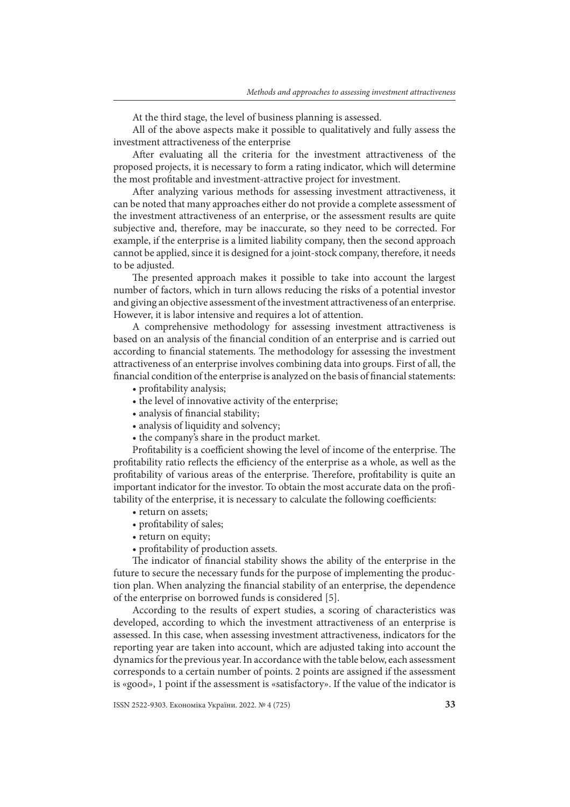At the third stage, the level of business planning is assessed.

All of the above aspects make it possible to qualitatively and fully assess the investment attractiveness of the enterprise

After evaluating all the criteria for the investment attractiveness of the proposed projects, it is necessary to form a rating indicator, which will determine the most profitable and investment-attractive project for investment.

After analyzing various methods for assessing investment attractiveness, it can be noted that many approaches either do not provide a complete assessment of the investment attractiveness of an enterprise, or the assessment results are quite subjective and, therefore, may be inaccurate, so they need to be corrected. For example, if the enterprise is a limited liability company, then the second approach cannot be applied, since it is designed for a joint-stock company, therefore, it needs to be adjusted.

The presented approach makes it possible to take into account the largest number of factors, which in turn allows reducing the risks of a potential investor and giving an objective assessment of the investment attractiveness of an enterprise. However, it is labor intensive and requires a lot of attention.

A comprehensive methodology for assessing investment attractiveness is based on an analysis of the financial condition of an enterprise and is carried out according to financial statements. The methodology for assessing the investment attractiveness of an enterprise involves combining data into groups. First of all, the financial condition of the enterprise is analyzed on the basis of financial statements:

- profitability analysis;
- the level of innovative activity of the enterprise;
- analysis of financial stability;
- analysis of liquidity and solvency;
- the company's share in the product market.

Profitability is a coefficient showing the level of income of the enterprise. The profitability ratio reflects the efficiency of the enterprise as a whole, as well as the profitability of various areas of the enterprise. Therefore, profitability is quite an important indicator for the investor. To obtain the most accurate data on the profitability of the enterprise, it is necessary to calculate the following coefficients:

- return on assets;
- profitability of sales;
- return on equity;
- profitability of production assets.

The indicator of financial stability shows the ability of the enterprise in the future to secure the necessary funds for the purpose of implementing the production plan. When analyzing the financial stability of an enterprise, the dependence of the enterprise on borrowed funds is considered [5].

According to the results of expert studies, a scoring of characteristics was developed, according to which the investment attractiveness of an enterprise is assessed. In this case, when assessing investment attractiveness, indicators for the reporting year are taken into account, which are adjusted taking into account the dynamics for the previous year. In accordance with the table below, each assessment corresponds to a certain number of points. 2 points are assigned if the assessment is «good», 1 point if the assessment is «satisfactory». If the value of the indicator is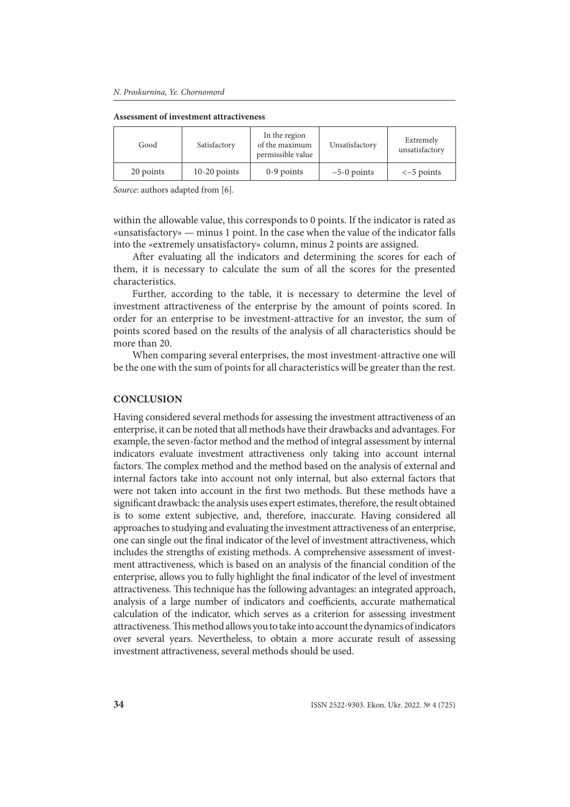#### **Assessment of investment attractiveness**

| Good      | Satisfactory   | In the region<br>of the maximum<br>permissible value | Unsatisfactory | Extremely<br>unsatisfactory |
|-----------|----------------|------------------------------------------------------|----------------|-----------------------------|
| 20 points | $10-20$ points | $0-9$ points                                         | $-5-0$ points  | $\le -5$ points             |

*Source*: authors adapted from [6].

within the allowable value, this corresponds to 0 points. If the indicator is rated as «unsatisfactory» — minus 1 point. In the case when the value of the indicator falls into the «extremely unsatisfactory» column, minus 2 points are assigned.

After evaluating all the indicators and determining the scores for each of them, it is necessary to calculate the sum of all the scores for the presented characteristics.

Further, according to the table, it is necessary to determine the level of investment attractiveness of the enterprise by the amount of points scored. In order for an enterprise to be investment-attractive for an investor, the sum of points scored based on the results of the analysis of all characteristics should be more than 20.

When comparing several enterprises, the most investment-attractive one will be the one with the sum of points for all characteristics will be greater than the rest.

#### **CONCLUSION**

Having considered several methods for assessing the investment attractiveness of an enterprise, it can be noted that all methods have their drawbacks and advantages. For example, the seven-factor method and the method of integral assessment by internal indicators evaluate investment attractiveness only taking into account internal factors. The complex method and the method based on the analysis of external and internal factors take into account not only internal, but also external factors that were not taken into account in the first two methods. But these methods have a significant drawback: the analysis uses expert estimates, therefore, the result obtained is to some extent subjective, and, therefore, inaccurate. Having considered all approaches to studying and evaluating the investment attractiveness of an enterprise, one can single out the final indicator of the level of investment attractiveness, which includes the strengths of existing methods. A comprehensive assessment of investment attractiveness, which is based on an analysis of the financial condition of the enterprise, allows you to fully highlight the final indicator of the level of investment attractiveness. This technique has the following advantages: an integrated approach, analysis of a large number of indicators and coefficients, accurate mathematical calculation of the indicator, which serves as a criterion for assessing investment attractiveness. This method allows you to take into account the dynamics of indicators over several years. Nevertheless, to obtain a more accurate result of assessing investment attractiveness, several methods should be used.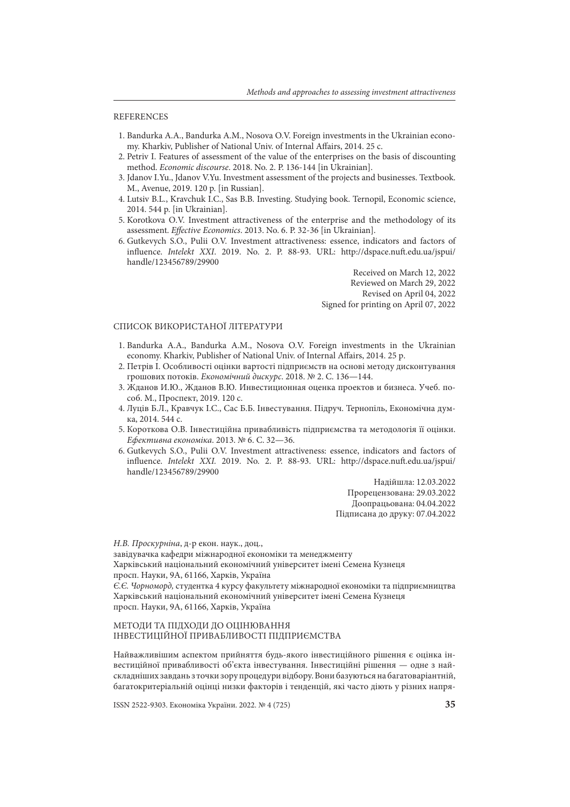#### REFERENCES

- 1. Bandurka A.A., Bandurka A.M., Nosova O.V. Foreign investments in the Ukrainian economy. Kharkiv, Publisher of National Univ. of Internal Affairs, 2014. 25 c.
- 2. Petriv І. Features of assessment of the value of the enterprises on the basis of discounting method. *Economic discourse*. 2018. No. 2. P. 136-144 [in Ukrainian].
- 3. Jdanov I.Yu., Jdanov V.Yu. Investment assessment of the projects and businesses. Textbook. М., Avenue, 2019. 120 p. [in Russian].
- 4. Lutsiv B.L., Kravchuk І.С., Sas B.B. Investing. Studying book. Ternopil, Economic science, 2014. 544 p. [in Ukrainian].
- 5. Korotkova О.V. Investment attractiveness of the enterprise and the methodology of its assessment. *Effective Economics*. 2013. No. 6. P. 32-36 [in Ukrainian].
- 6. Gutkevych S.O., Pulii O.V. Investment attractiveness: essence, indicators and factors of influence. *Intelekt XXI*. 2019. No. 2. P. 88-93. URL: http://dspace.nuft.edu.ua/jspui/ handle/123456789/29900

Received on March 12, 2022 Reviewed on March 29, 2022 Revised on April 04, 2022 Signed for printing on April 07, 2022

#### СПИСОК ВИКОРИСТАНОЇ ЛІТЕРАТУРИ

- 1. Bandurka A.A., Bandurka A.M., Nosova O.V. Foreign investments in the Ukrainian economy. Kharkiv, Publisher of National Univ. of Internal Affairs, 2014. 25 p.
- 2. Петрів І. Особливості оцінки вартості підприємств на основі методу дисконтування грошових потоків. *Економічний дискурс*. 2018. № 2. С. 136—144.
- 3. Жданов И.Ю., Жданов В.Ю. Инвестиционная оценка проектов и бизнеса. Учеб. пособ. М., Проспект, 2019. 120 с.
- 4. Луців Б.Л., Кравчук І.С., Сас Б.Б. Інвестування. Підруч. Тернопіль, Економічна думка, 2014. 544 с.
- 5. Короткова О.В. Інвестиційна привабливість підприємства та методологія її оцінки. *Ефективна економіка*. 2013. № 6. С. 32—36.
- 6. Gutkevych S.O., Pulii O.V. Investment attractiveness: essence, indicators and factors of influence. *Intelekt XXI.* 2019. No. 2. P. 88-93. URL: http://dspace.nuft.edu.ua/jspui/ handle/123456789/29900

Надійшла: 12.03.2022 Прорецензована: 29.03.2022 Доопрацьована: 04.04.2022 Підписана до друку: 07.04.2022

*Н.В. Проскурніна*, д-р екон. наук., доц., завідувачка кафедри міжнародної економіки та менеджменту Харківський національний економічний університет імені Семена Кузнеця просп. Науки, 9A, 61166, Харків, Україна *Є.Є. Чорноморд,* студентка 4 курсу факультету міжнародної економіки та підприємництва Харківський національний економічний університет імені Семена Кузнеця просп. Науки, 9A, 61166, Харків, Україна

#### МЕТОДИ ТА ПІДХОДИ ДО ОЦІНЮВАННЯ ІНВЕСТИЦІЙНОЇ ПРИВАБЛИВОСТІ ПІДПРИЄМСТВА

Найважливішим аспектом прийняття будь-якого інвестиційного рішення є оцінка інвестиційної привабливості об'єкта інвестування. Інвестиційні рішення — одне з найскладніших завдань з точки зору процедури відбору. Вони базуються на багатоваріантній, багатокритеріальній оцінці низки факторів і тенденцій, які часто діють у різних напря-

ISSN 2522-9303. Економіка України. 2022. № 4 (725) **35**